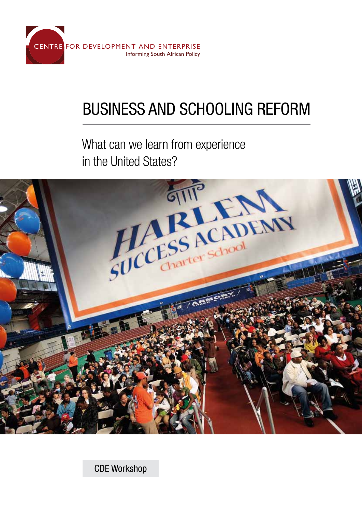

# Business and Schooling reform

What can we learn from experience



CDE Workshop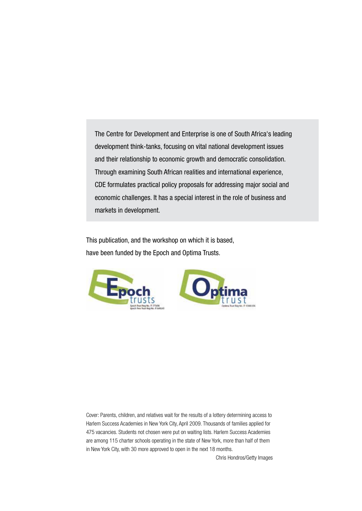The Centre for Development and Enterprise is one of South Africa's leading development think-tanks, focusing on vital national development issues and their relationship to economic growth and democratic consolidation. Through examining South African realities and international experience, CDE formulates practical policy proposals for addressing major social and economic challenges. It has a special interest in the role of business and markets in development.

This publication, and the workshop on which it is based, have been funded by the Epoch and Optima Trusts.





Cover: Parents, children, and relatives wait for the results of a lottery determining access to Harlem Success Academies in New York City, April 2009. Thousands of families applied for 475 vacancies. Students not chosen were put on waiting lists. Harlem Success Academies are among 115 charter schools operating in the state of New York, more than half of them in New York City, with 30 more approved to open in the next 18 months.

Chris Hondros/Getty Images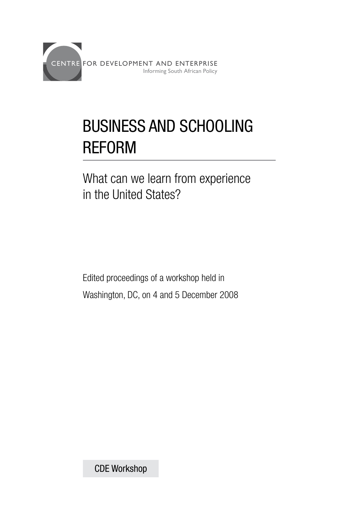

# Business and schooling reform

What can we learn from experience in the United States?

Edited proceedings of a workshop held in Washington, DC, on 4 and 5 December 2008

CDE Workshop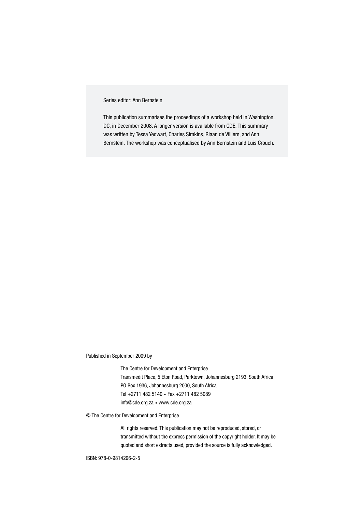#### Series editor: Ann Bernstein

This publication summarises the proceedings of a workshop held in Washington, DC, in December 2008. A longer version is available from CDE. This summary was written by Tessa Yeowart, Charles Simkins, Riaan de Villiers, and Ann Bernstein. The workshop was conceptualised by Ann Bernstein and Luis Crouch.

Published in September 2009 by

The Centre for Development and Enterprise Transmedit Place, 5 Eton Road, Parktown, Johannesburg 2193, South Africa PO Box 1936, Johannesburg 2000, South Africa Tel +2711 482 5140 • Fax +2711 482 5089 info@cde.org.za • www.cde.org.za

© The Centre for Development and Enterprise

All rights reserved. This publication may not be reproduced, stored, or transmitted without the express permission of the copyright holder. It may be quoted and short extracts used, provided the source is fully acknowledged.

ISBN: 978-0-9814296-2-5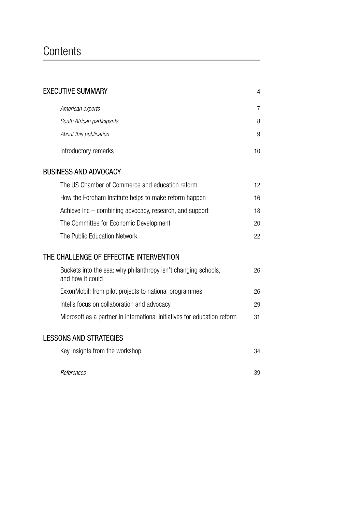# **Contents**

| <b>EXECUTIVE SUMMARY</b>                                                           | 4  |
|------------------------------------------------------------------------------------|----|
| American experts                                                                   | 7  |
| South African participants                                                         | 8  |
| About this publication                                                             | 9  |
| Introductory remarks                                                               | 10 |
| <b>BUSINESS AND ADVOCACY</b>                                                       |    |
| The US Chamber of Commerce and education reform                                    | 12 |
| How the Fordham Institute helps to make reform happen                              | 16 |
| Achieve Inc – combining advocacy, research, and support                            | 18 |
| The Committee for Economic Development                                             | 20 |
| The Public Education Network                                                       | 22 |
| THE CHALLENGE OF EFFECTIVE INTERVENTION                                            |    |
| Buckets into the sea: why philanthropy isn't changing schools,<br>and how it could | 26 |
| ExxonMobil: from pilot projects to national programmes                             | 26 |
| Intel's focus on collaboration and advocacy                                        | 29 |
| Microsoft as a partner in international initiatives for education reform           | 31 |
| <b>LESSONS AND STRATEGIES</b>                                                      |    |
| Key insights from the workshop                                                     | 34 |
| References                                                                         | 39 |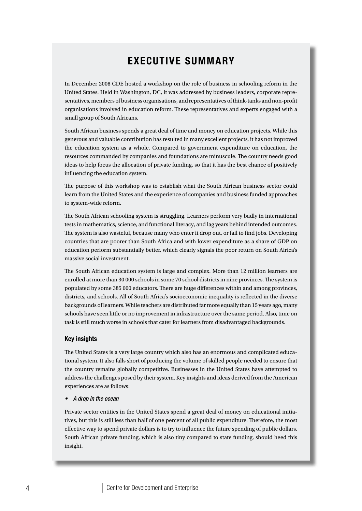## Executive summary

In December 2008 CDE hosted a workshop on the role of business in schooling reform in the United States. Held in Washington, DC, it was addressed by business leaders, corporate representatives, members of business organisations, and representatives of think-tanks and non-profit organisations involved in education reform. These representatives and experts engaged with a small group of South Africans.

South African business spends a great deal of time and money on education projects. While this generous and valuable contribution has resulted in many excellent projects, it has not improved the education system as a whole. Compared to government expenditure on education, the resources commanded by companies and foundations are minuscule. The country needs good ideas to help focus the allocation of private funding, so that it has the best chance of positively influencing the education system.

The purpose of this workshop was to establish what the South African business sector could learn from the United States and the experience of companies and business funded approaches to system-wide reform.

The South African schooling system is struggling. Learners perform very badly in international tests in mathematics, science, and functional literacy, and lag years behind intended outcomes. The system is also wasteful, because many who enter it drop out, or fail to find jobs. Developing countries that are poorer than South Africa and with lower expenditure as a share of GDP on education perform substantially better, which clearly signals the poor return on South Africa's massive social investment.

The South African education system is large and complex. More than 12 million learners are enrolled at more than 30 000 schools in some 70 school districts in nine provinces. The system is populated by some 385 000 educators. There are huge differences within and among provinces, districts, and schools. All of South Africa's socioeconomic inequality is reflected in the diverse backgrounds of learners. While teachers are distributed far more equally than 15 years ago, many schools have seen little or no improvement in infrastructure over the same period. Also, time on task is still much worse in schools that cater for learners from disadvantaged backgrounds.

#### Key insights

The United States is a very large country which also has an enormous and complicated educational system. It also falls short of producing the volume of skilled people needed to ensure that the country remains globally competitive. Businesses in the United States have attempted to address the challenges posed by their system. Key insights and ideas derived from the American experiences are as follows:

#### • A drop in the ocean

Private sector entities in the United States spend a great deal of money on educational initiatives, but this is still less than half of one percent of all public expenditure. Therefore, the most effective way to spend private dollars is to try to influence the future spending of public dollars. South African private funding, which is also tiny compared to state funding, should heed this insight.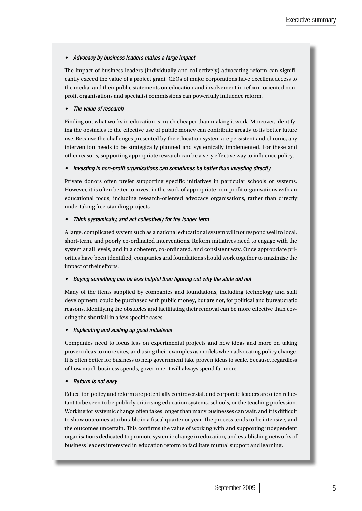#### • Advocacy by business leaders makes a large impact

The impact of business leaders (individually and collectively) advocating reform can significantly exceed the value of a project grant. CEOs of major corporations have excellent access to the media, and their public statements on education and involvement in reform-oriented nonprofit organisations and specialist commissions can powerfully influence reform.

#### The value of research

Finding out what works in education is much cheaper than making it work. Moreover, identifying the obstacles to the effective use of public money can contribute greatly to its better future use. Because the challenges presented by the education system are persistent and chronic, any intervention needs to be strategically planned and systemically implemented. For these and other reasons, supporting appropriate research can be a very effective way to influence policy.

#### • Investing in non-profit organisations can sometimes be better than investing directly

Private donors often prefer supporting specific initiatives in particular schools or systems. However, it is often better to invest in the work of appropriate non-profit organisations with an educational focus, including research-oriented advocacy organisations, rather than directly undertaking free-standing projects.

#### • Think systemically, and act collectively for the longer term

A large, complicated system such as a national educational system will not respond well to local, short-term, and poorly co-ordinated interventions. Reform initiatives need to engage with the system at all levels, and in a coherent, co-ordinated, and consistent way. Once appropriate priorities have been identified, companies and foundations should work together to maximise the impact of their efforts.

#### Buying something can be less helpful than figuring out why the state did not

Many of the items supplied by companies and foundations, including technology and staff development, could be purchased with public money, but are not, for political and bureaucratic reasons. Identifying the obstacles and facilitating their removal can be more effective than covering the shortfall in a few specific cases.

#### • Replicating and scaling up good initiatives

Companies need to focus less on experimental projects and new ideas and more on taking proven ideas to more sites, and using their examples as models when advocating policy change. It is often better for business to help government take proven ideas to scale, because, regardless of how much business spends, government will always spend far more.

#### **Reform is not easy**

Education policy and reform are potentially controversial, and corporate leaders are often reluctant to be seen to be publicly criticising education systems, schools, or the teaching profession. Working for systemic change often takes longer than many businesses can wait, and it is difficult to show outcomes attributable in a fiscal quarter or year. The process tends to be intensive, and the outcomes uncertain. This confirms the value of working with and supporting independent organisations dedicated to promote systemic change in education, and establishing networks of business leaders interested in education reform to facilitate mutual support and learning.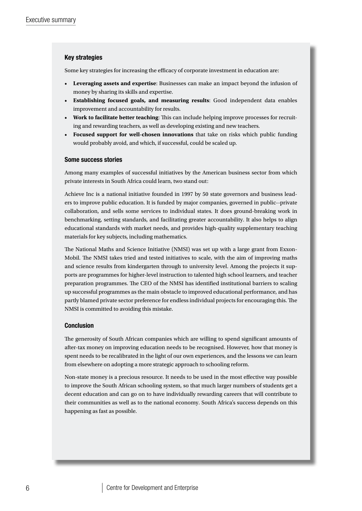#### Key strategies

Some key strategies for increasing the efficacy of corporate investment in education are:

- • **Leveraging assets and expertise**: Businesses can make an impact beyond the infusion of money by sharing its skills and expertise.
- • **Establishing focused goals, and measuring results**: Good independent data enables improvement and accountability for results.
- • **Work to facilitate better teaching**: This can include helping improve processes for recruiting and rewarding teachers, as well as developing existing and new teachers.
- • **Focused support for well-chosen innovations** that take on risks which public funding would probably avoid, and which, if successful, could be scaled up.

#### Some success stories

Among many examples of successful initiatives by the American business sector from which private interests in South Africa could learn, two stand out:

Achieve Inc is a national initiative founded in 1997 by 50 state governors and business leaders to improve public education. It is funded by major companies, governed in public--private collaboration, and sells some services to individual states. It does ground-breaking work in benchmarking, setting standards, and facilitating greater accountability. It also helps to align educational standards with market needs, and provides high-quality supplementary teaching materials for key subjects, including mathematics.

The National Maths and Science Initiative (NMSI) was set up with a large grant from Exxon-Mobil. The NMSI takes tried and tested initiatives to scale, with the aim of improving maths and science results from kindergarten through to university level. Among the projects it supports are programmes for higher-level instruction to talented high school learners, and teacher preparation programmes. The CEO of the NMSI has identified institutional barriers to scaling up successful programmes as the main obstacle to improved educational performance, and has partly blamed private sector preference for endless individual projects for encouraging this. The NMSI is committed to avoiding this mistake.

#### Conclusion

The generosity of South African companies which are willing to spend significant amounts of after-tax money on improving education needs to be recognised. However, how that money is spent needs to be recalibrated in the light of our own experiences, and the lessons we can learn from elsewhere on adopting a more strategic approach to schooling reform.

Non-state money is a precious resource. It needs to be used in the most effective way possible to improve the South African schooling system, so that much larger numbers of students get a decent education and can go on to have individually rewarding careers that will contribute to their communities as well as to the national economy. South Africa's success depends on this happening as fast as possible.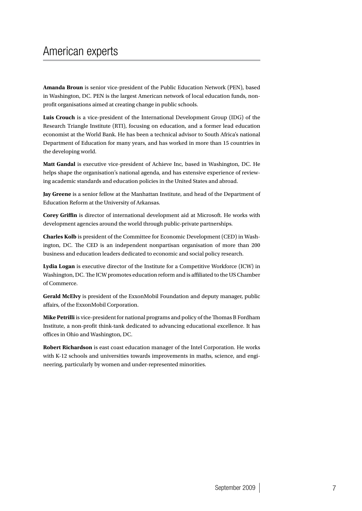# American experts

**Amanda Broun** is senior vice-president of the Public Education Network (PEN), based in Washington, DC. PEN is the largest American network of local education funds, nonprofit organisations aimed at creating change in public schools.

**Luis Crouch** is a vice-president of the International Development Group (IDG) of the Research Triangle Institute (RTI), focusing on education, and a former lead education economist at the World Bank. He has been a technical advisor to South Africa's national Department of Education for many years, and has worked in more than 15 countries in the developing world.

**Matt Gandal** is executive vice-president of Achieve Inc, based in Washington, DC. He helps shape the organisation's national agenda, and has extensive experience of reviewing academic standards and education policies in the United States and abroad.

**Jay Greene** is a senior fellow at the Manhattan Institute, and head of the Department of Education Reform at the University of Arkansas.

**Corey Griffin** is director of international development aid at Microsoft. He works with development agencies around the world through public-private partnerships.

**Charles Kolb** is president of the Committee for Economic Development (CED) in Washington, DC. The CED is an independent nonpartisan organisation of more than 200 business and education leaders dedicated to economic and social policy research.

**Lydia Logan** is executive director of the Institute for a Competitive Workforce (ICW) in Washington, DC. The ICW promotes education reform and is affiliated to the US Chamber of Commerce.

**Gerald McElvy** is president of the ExxonMobil Foundation and deputy manager, public affairs, of the ExxonMobil Corporation.

**Mike Petrilli** is vice-president for national programs and policy of the Thomas B Fordham Institute, a non-profit think-tank dedicated to advancing educational excellence. It has offices in Ohio and Washington, DC.

**Robert Richardson** is east coast education manager of the Intel Corporation. He works with K-12 schools and universities towards improvements in maths, science, and engineering, particularly by women and under-represented minorities.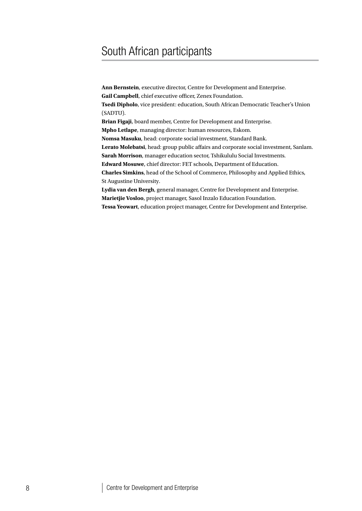# South African participants

**Ann Bernstein**, executive director, Centre for Development and Enterprise. **Gail Campbell**, chief executive officer, Zenex Foundation. **Tsedi Dipholo**, vice president: education, South African Democratic Teacher's Union (SADTU). **Brian Figaji**, board member, Centre for Development and Enterprise. **Mpho Letlape**, managing director: human resources, Eskom. **Nomsa Masuku**, head: corporate social investment, Standard Bank. **Lerato Molebatsi**, head: group public affairs and corporate social investment, Sanlam. **Sarah Morrison**, manager education sector, Tshikululu Social Investments. **Edward Mosuwe**, chief director: FET schools, Department of Education. **Charles Simkins**, head of the School of Commerce, Philosophy and Applied Ethics, St Augustine University. **Lydia van den Bergh**, general manager, Centre for Development and Enterprise. **Marietjie Vosloo**, project manager, Sasol Inzalo Education Foundation. **Tessa Yeowart**, education project manager, Centre for Development and Enterprise.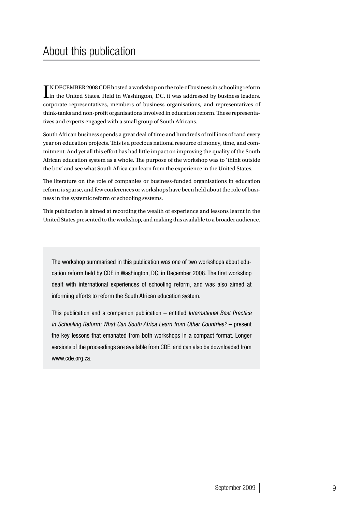$\prod_{i=1}^N \text{DECEMBER 2008 CDE} \text{Rosted a workshop on the role of business in schooling reform}$  <br> In the United States. Held in Washington, DC, it was addressed by business leaders, TN DECEMBER 2008 CDE hosted a workshop on the role of business in schooling reform corporate representatives, members of business organisations, and representatives of think-tanks and non-profit organisations involved in education reform. These representatives and experts engaged with a small group of South Africans.

South African business spends a great deal of time and hundreds of millions of rand every year on education projects. This is a precious national resource of money, time, and commitment. And yet all this effort has had little impact on improving the quality of the South African education system as a whole. The purpose of the workshop was to 'think outside the box' and see what South Africa can learn from the experience in the United States.

The literature on the role of companies or business-funded organisations in education reform is sparse, and few conferences or workshops have been held about the role of business in the systemic reform of schooling systems.

This publication is aimed at recording the wealth of experience and lessons learnt in the United States presented to the workshop, and making this available to a broader audience.

The workshop summarised in this publication was one of two workshops about education reform held by CDE in Washington, DC, in December 2008. The first workshop dealt with international experiences of schooling reform, and was also aimed at informing efforts to reform the South African education system.

This publication and a companion publication – entitled International Best Practice in Schooling Reform: What Can South Africa Learn from Other Countries? – present the key lessons that emanated from both workshops in a compact format. Longer versions of the proceedings are available from CDE, and can also be downloaded from www.cde.org.za.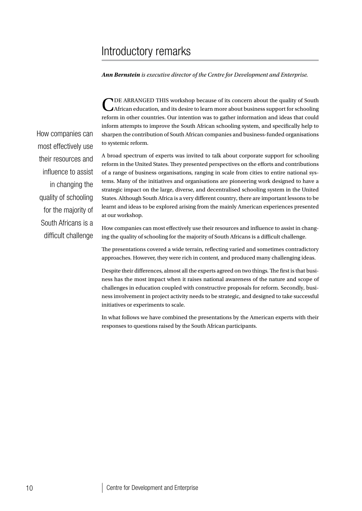# Introductory remarks

*Ann Bernstein is executive director of the Centre for Development and Enterprise.*

TDE ARRANGED THIS workshop because of its concern about the quality of South African education, and its desire to learn more about business support for schooling reform in other countries. Our intention was to gather information and ideas that could inform attempts to improve the South African schooling system, and specifically help to sharpen the contribution of South African companies and business-funded organisations to systemic reform.

A broad spectrum of experts was invited to talk about corporate support for schooling reform in the United States. They presented perspectives on the efforts and contributions of a range of business organisations, ranging in scale from cities to entire national systems. Many of the initiatives and organisations are pioneering work designed to have a strategic impact on the large, diverse, and decentralised schooling system in the United States. Although South Africa is a very different country, there are important lessons to be learnt and ideas to be explored arising from the mainly American experiences presented at our workshop.

How companies can most effectively use their resources and influence to assist in changing the quality of schooling for the majority of South Africans is a difficult challenge.

The presentations covered a wide terrain, reflecting varied and sometimes contradictory approaches. However, they were rich in content, and produced many challenging ideas.

Despite their differences, almost all the experts agreed on two things. The first is that business has the most impact when it raises national awareness of the nature and scope of challenges in education coupled with constructive proposals for reform. Secondly, business involvement in project activity needs to be strategic, and designed to take successful initiatives or experiments to scale.

In what follows we have combined the presentations by the American experts with their responses to questions raised by the South African participants.

How companies can most effectively use their resources and influence to assist in changing the quality of schooling for the majority of South Africans is a difficult challenge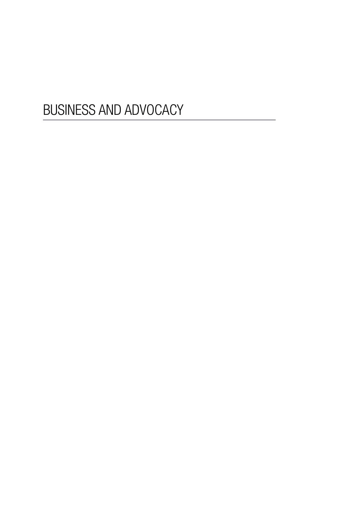# BUSINESS AND ADVOCACY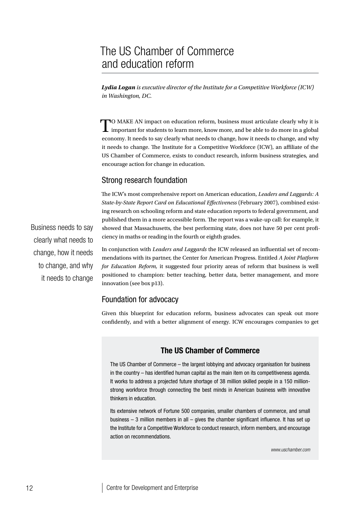*Lydia Logan is executive director of the Institute for a Competitive Workforce (ICW) in Washington, DC.*

TO MAKE AN impact on education reform, business must articulate clearly why it is important for students to learn more, know more, and be able to do more in a global economy. It needs to say clearly what needs to change, how it needs to change, and why it needs to change. The Institute for a Competitive Workforce (ICW), an affiliate of the US Chamber of Commerce, exists to conduct research, inform business strategies, and encourage action for change in education.

#### Strong research foundation

The ICW's most comprehensive report on American education, *Leaders and Laggards: A State-by-State Report Card on Educational Effectiveness* (February 2007), combined existing research on schooling reform and state education reports to federal government, and published them in a more accessible form. The report was a wake-up call: for example, it showed that Massachusetts, the best performing state, does not have 50 per cent proficiency in maths or reading in the fourth or eighth grades.

In conjunction with *Leaders and Laggards* the ICW released an influential set of recommendations with its partner, the Center for American Progress. Entitled *A Joint Platform for Education Reform,* it suggested four priority areas of reform that business is well positioned to champion: better teaching, better data, better management, and more innovation (see box p13).

#### Foundation for advocacy

Given this blueprint for education reform, business advocates can speak out more confidently, and with a better alignment of energy. ICW encourages companies to get

#### The US Chamber of Commerce

The US Chamber of Commerce – the largest lobbying and advocacy organisation for business in the country – has identified human capital as the main item on its competitiveness agenda. It works to address a projected future shortage of 38 million skilled people in a 150 millionstrong workforce through connecting the best minds in American business with innovative thinkers in education.

Its extensive network of Fortune 500 companies, smaller chambers of commerce, and small business – 3 million members in all – gives the chamber significant influence. It has set up the Institute for a Competitive Workforce to conduct research, inform members, and encourage action on recommendations.

*www.uschamber.com*

Business needs to say clearly what needs to change, how it needs to change, and why it needs to change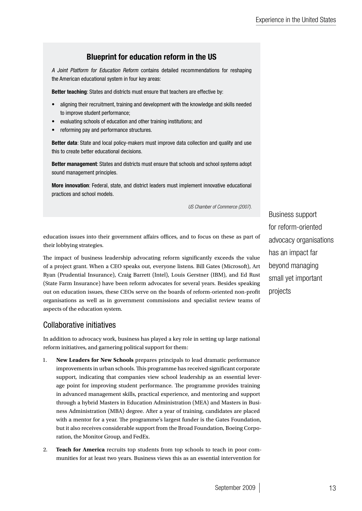## Blueprint for education reform in the US

A Joint Platform for Education Reform contains detailed recommendations for reshaping the American educational system in four key areas:

Better teaching: States and districts must ensure that teachers are effective by:

- aligning their recruitment, training and development with the knowledge and skills needed to improve student performance;
- evaluating schools of education and other training institutions; and
- reforming pay and performance structures.

Better data: State and local policy-makers must improve data collection and quality and use this to create better educational decisions.

Better management: States and districts must ensure that schools and school systems adopt sound management principles.

More innovation: Federal, state, and district leaders must implement innovative educational practices and school models.

*US Chamber of Commerce (2007).*

education issues into their government affairs offices, and to focus on these as part of their lobbying strategies.

The impact of business leadership advocating reform significantly exceeds the value of a project grant. When a CEO speaks out, everyone listens. Bill Gates (Microsoft), Art Ryan (Prudential Insurance), Craig Barrett (Intel), Louis Gerstner (IBM), and Ed Rust (State Farm Insurance) have been reform advocates for several years. Besides speaking out on education issues, these CEOs serve on the boards of reform-oriented non-profit organisations as well as in government commissions and specialist review teams of aspects of the education system.

## Collaborative initiatives

In addition to advocacy work, business has played a key role in setting up large national reform initiatives, and garnering political support for them:

- 1. **New Leaders for New Schools** prepares principals to lead dramatic performance improvements in urban schools. This programme has received significant corporate support, indicating that companies view school leadership as an essential leverage point for improving student performance. The programme provides training in advanced management skills, practical experience, and mentoring and support through a hybrid Masters in Education Administration (MEA) and Masters in Business Administration (MBA) degree. After a year of training, candidates are placed with a mentor for a year. The programme's largest funder is the Gates Foundation, but it also receives considerable support from the Broad Foundation, Boeing Corporation, the Monitor Group, and FedEx.
- 2. **Teach for America** recruits top students from top schools to teach in poor communities for at least two years. Business views this as an essential intervention for

Business support for reform-oriented advocacy organisations has an impact far beyond managing small yet important projects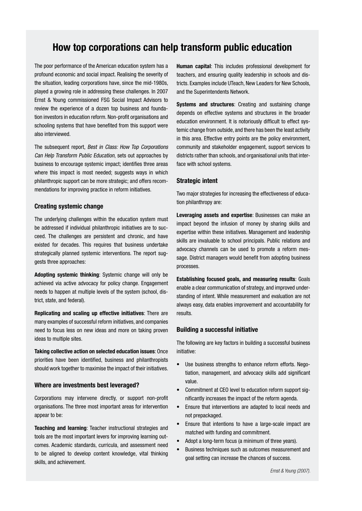## How top corporations can help transform public education

The poor performance of the American education system has a profound economic and social impact. Realising the severity of the situation, leading corporations have, since the mid-1980s, played a growing role in addressing these challenges. In 2007 Ernst & Young commissioned FSG Social Impact Advisors to review the experience of a dozen top business and foundation investors in education reform. Non-profit organisations and schooling systems that have benefited from this support were also interviewed.

The subsequent report, Best in Class: How Top Corporations Can Help Transform Public Education, sets out approaches by business to encourage systemic impact; identifies three areas where this impact is most needed; suggests ways in which philanthropic support can be more strategic; and offers recommendations for improving practice in reform initiatives.

#### Creating systemic change

The underlying challenges within the education system must be addressed if individual philanthropic initiatives are to succeed. The challenges are persistent and chronic, and have existed for decades. This requires that business undertake strategically planned systemic interventions. The report suggests three approaches:

Adopting systemic thinking: Systemic change will only be achieved via active advocacy for policy change. Engagement needs to happen at multiple levels of the system (school, district, state, and federal).

Replicating and scaling up effective initiatives: There are many examples of successful reform initiatives, and companies need to focus less on new ideas and more on taking proven ideas to multiple sites.

Taking collective action on selected education issues: Once priorities have been identified, business and philanthropists should work together to maximise the impact of their initiatives.

#### Where are investments best leveraged?

Corporations may intervene directly, or support non-profit organisations. The three most important areas for intervention appear to be:

Teaching and learning: Teacher instructional strategies and tools are the most important levers for improving learning outcomes. Academic standards, curricula, and assessment need to be aligned to develop content knowledge, vital thinking skills, and achievement.

Human capital: This includes professional development for teachers, and ensuring quality leadership in schools and districts. Examples include UTeach, New Leaders for New Schools, and the Superintendents Network.

Systems and structures: Creating and sustaining change depends on effective systems and structures in the broader education environment. It is notoriously difficult to effect systemic change from outside, and there has been the least activity in this area. Effective entry points are the policy environment, community and stakeholder engagement, support services to districts rather than schools, and organisational units that interface with school systems.

#### Strategic intent

Two major strategies for increasing the effectiveness of education philanthropy are:

Leveraging assets and expertise: Businesses can make an impact beyond the infusion of money by sharing skills and expertise within these initiatives. Management and leadership skills are invaluable to school principals. Public relations and advocacy channels can be used to promote a reform message. District managers would benefit from adopting business processes.

Establishing focused goals, and measuring results: Goals enable a clear communication of strategy, and improved understanding of intent. While measurement and evaluation are not always easy, data enables improvement and accountability for results.

#### Building a successful initiative

The following are key factors in building a successful business initiative:

- Use business strengths to enhance reform efforts. Negotiation, management, and advocacy skills add significant value.
- Commitment at CEO level to education reform support significantly increases the impact of the reform agenda.
- • Ensure that interventions are adapted to local needs and not prepackaged.
- Ensure that intentions to have a large-scale impact are matched with funding and commitment.
- Adopt a long-term focus (a minimum of three years).
- Business techniques such as outcomes measurement and goal setting can increase the chances of success.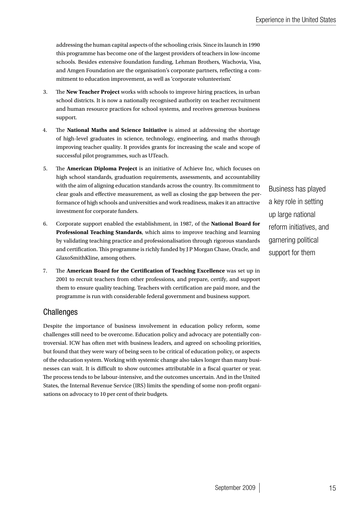addressing the human capital aspects of the schooling crisis. Since its launch in 1990 this programme has become one of the largest providers of teachers in low-income schools. Besides extensive foundation funding, Lehman Brothers, Wachovia, Visa, and Amgen Foundation are the organisation's corporate partners, reflecting a commitment to education improvement, as well as 'corporate volunteerism'.

- 3. The **New Teacher Project** works with schools to improve hiring practices, in urban school districts. It is now a nationally recognised authority on teacher recruitment and human resource practices for school systems, and receives generous business support.
- 4. The **National Maths and Science Initiative** is aimed at addressing the shortage of high-level graduates in science, technology, engineering, and maths through improving teacher quality. It provides grants for increasing the scale and scope of successful pilot programmes, such as UTeach.
- 5. The **American Diploma Project** is an initiative of Achieve Inc, which focuses on high school standards, graduation requirements, assessments, and accountability with the aim of aligning education standards across the country. Its commitment to clear goals and effective measurement, as well as closing the gap between the performance of high schools and universities and work readiness, makes it an attractive investment for corporate funders.
- 6. Corporate support enabled the establishment, in 1987, of the **National Board for Professional Teaching Standards**, which aims to improve teaching and learning by validating teaching practice and professionalisation through rigorous standards and certification. This programme is richly funded by J P Morgan Chase, Oracle, and GlaxoSmithKline, among others.
- 7. The **American Board for the Certification of Teaching Excellence** was set up in 2001 to recruit teachers from other professions, and prepare, certify, and support them to ensure quality teaching. Teachers with certification are paid more, and the programme is run with considerable federal government and business support.

## **Challenges**

Despite the importance of business involvement in education policy reform, some challenges still need to be overcome. Education policy and advocacy are potentially controversial. ICW has often met with business leaders, and agreed on schooling priorities, but found that they were wary of being seen to be critical of education policy, or aspects of the education system. Working with systemic change also takes longer than many businesses can wait. It is difficult to show outcomes attributable in a fiscal quarter or year. The process tends to be labour-intensive, and the outcomes uncertain. And in the United States, the Internal Revenue Service (IRS) limits the spending of some non-profit organisations on advocacy to 10 per cent of their budgets.

Business has played a key role in setting up large national reform initiatives, and garnering political support for them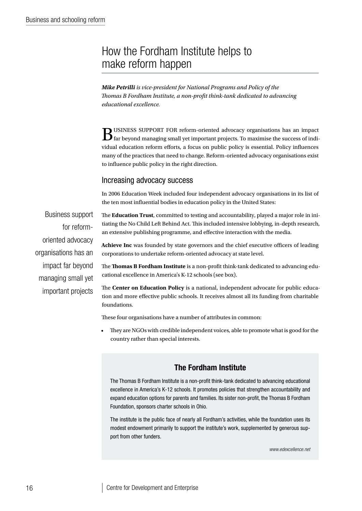# How the Fordham Institute helps to make reform happen

*Mike Petrilli is vice-president for National Programs and Policy of the Thomas B Fordham Institute, a non-profit think-tank dedicated to advancing educational excellence.*

 $\mathbf B$ USINESS SUPPORT FOR reform-oriented advocacy organisations has an impact far beyond managing small yet important projects. To maximise the success of individual education reform efforts, a focus on public policy is essential. Policy influences many of the practices that need to change. Reform-oriented advocacy organisations exist to influence public policy in the right direction.

#### Increasing advocacy success

In 2006 Education Week included four independent advocacy organisations in its list of the ten most influential bodies in education policy in the United States:

Business support for reformoriented advocacy organisations has an impact far beyond managing small yet important projects The **Education Trust**, committed to testing and accountability, played a major role in initiating the No Child Left Behind Act. This included intensive lobbying, in-depth research, an extensive publishing programme, and effective interaction with the media.

**Achieve Inc** was founded by state governors and the chief executive officers of leading corporations to undertake reform-oriented advocacy at state level.

The **Thomas B Fordham Institute** is a non-profit think-tank dedicated to advancing educational excellence in America's K-12 schools (see box).

The **Center on Education Policy** is a national, independent advocate for public education and more effective public schools. It receives almost all its funding from charitable foundations.

These four organisations have a number of attributes in common:

They are NGOs with credible independent voices, able to promote what is good for the country rather than special interests.

## The Fordham Institute

The Thomas B Fordham Institute is a non-profit think-tank dedicated to advancing educational excellence in America's K-12 schools. It promotes policies that strengthen accountability and expand education options for parents and families. Its sister non-profit, the Thomas B Fordham Foundation, sponsors charter schools in Ohio.

The institute is the public face of nearly all Fordham's activities, while the foundation uses its modest endowment primarily to support the institute's work, supplemented by generous support from other funders.

*www.edexcellence.net*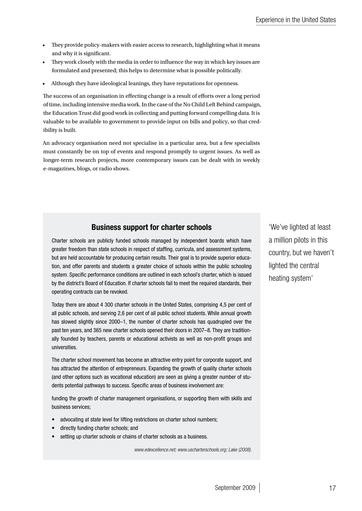- They provide policy-makers with easier access to research, highlighting what it means and why it is significant.
- They work closely with the media in order to influence the way in which key issues are formulated and presented; this helps to determine what is possible politically.
- Although they have ideological leanings, they have reputations for openness.

The success of an organisation in effecting change is a result of efforts over a long period of time, including intensive media work. In the case of the No Child Left Behind campaign, the Education Trust did good work in collecting and putting forward compelling data. It is valuable to be available to government to provide input on bills and policy, so that credibility is built.

An advocacy organisation need not specialise in a particular area, but a few specialists must constantly be on top of events and respond promptly to urgent issues. As well as longer-term research projects, more contemporary issues can be dealt with in weekly e-magazines, blogs, or radio shows.

## Business support for charter schools

Charter schools are publicly funded schools managed by independent boards which have greater freedom than state schools in respect of staffing, curricula, and assessment systems, but are held accountable for producing certain results. Their goal is to provide superior education, and offer parents and students a greater choice of schools within the public schooling system. Specific performance conditions are outlined in each school's charter, which is issued by the district's Board of Education. If charter schools fail to meet the required standards, their operating contracts can be revoked.

Today there are about 4 300 charter schools in the United States, comprising 4,5 per cent of all public schools, and serving 2,6 per cent of all public school students. While annual growth has slowed slightly since 2000–1, the number of charter schools has quadrupled over the past ten years, and 365 new charter schools opened their doors in 2007–8. They are traditionally founded by teachers, parents or educational activists as well as non-profit groups and universities.

The charter school movement has become an attractive entry point for corporate support, and has attracted the attention of entrepreneurs. Expanding the growth of quality charter schools (and other options such as vocational education) are seen as giving a greater number of students potential pathways to success. Specific areas of business involvement are:

funding the growth of charter management organisations, or supporting them with skills and business services;

- advocating at state level for lifting restrictions on charter school numbers;
- directly funding charter schools; and
- setting up charter schools or chains of charter schools as a business.

*www.edexcellence.net; www.uscharterschools.org; Lake (2008).*

'We've lighted at least a million pilots in this country, but we haven't lighted the central heating system'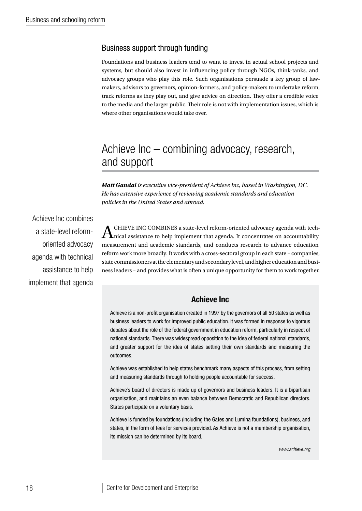## Business support through funding

Foundations and business leaders tend to want to invest in actual school projects and systems, but should also invest in influencing policy through NGOs, think-tanks, and advocacy groups who play this role. Such organisations persuade a key group of lawmakers, advisors to governors, opinion-formers, and policy-makers to undertake reform, track reforms as they play out, and give advice on direction. They offer a credible voice to the media and the larger public. Their role is not with implementation issues, which is where other organisations would take over.

## Achieve Inc – combining advocacy, research, and support

*Matt Gandal is executive vice-president of Achieve Inc, based in Washington, DC. He has extensive experience of reviewing academic standards and education policies in the United States and abroad.*

Achieve Inc combines a state-level reformoriented advocacy agenda with technical assistance to help implement that agenda

 $\bigwedge$  CHIEVE INC COMBINES a state-level reform-oriented advocacy agenda with tech-<br>ical assistance to help implement that agenda. It concentrates on accountability measurement and academic standards, and conducts research to advance education reform work more broadly. It works with a cross-sectoral group in each state – companies, state commissioners at the elementary and secondary level, and higher education and business leaders – and provides what is often a unique opportunity for them to work together.

#### Achieve Inc

Achieve is a non-profit organisation created in 1997 by the governors of all 50 states as well as business leaders to work for improved public education. It was formed in response to vigorous debates about the role of the federal government in education reform, particularly in respect of national standards. There was widespread opposition to the idea of federal national standards, and greater support for the idea of states setting their own standards and measuring the outcomes.

Achieve was established to help states benchmark many aspects of this process, from setting and measuring standards through to holding people accountable for success.

Achieve's board of directors is made up of governors and business leaders. It is a bipartisan organisation, and maintains an even balance between Democratic and Republican directors. States participate on a voluntary basis.

Achieve is funded by foundations (including the Gates and Lumina foundations), business, and states, in the form of fees for services provided. As Achieve is not a membership organisation, its mission can be determined by its board.

*www.achieve.org*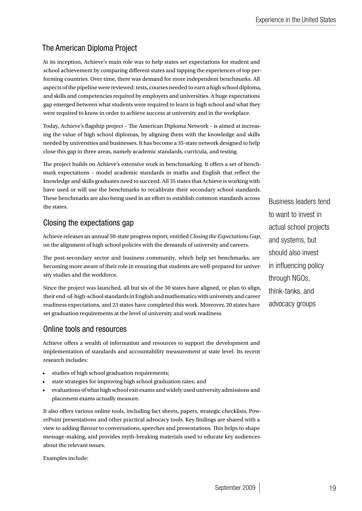## The American Diploma Project

At its inception, Achieve's main role was to help states set expectations for student and school achievement by comparing different states and tapping the experiences of top performing countries. Over time, there was demand for more independent benchmarks. All aspects of the pipeline were reviewed: tests, courses needed to earn a high school diploma, and skills and competencies required by employers and universities. A huge expectations gap emerged between what students were required to learn in high school and what they were required to know in order to achieve success at university and in the workplace.

Today, Achieve's flagship project – The American Diploma Network – is aimed at increasing the value of high school diplomas, by aligning them with the knowledge and skills needed by universities and businesses. It has become a 35-state network designed to help close this gap in three areas, namely academic standards, curricula, and testing.

The project builds on Achieve's extensive work in benchmarking. It offers a set of benchmark expectations – model academic standards in maths and English that reflect the knowledge and skills graduates need to succeed. All 35 states that Achieve is working with have used or will use the benchmarks to recalibrate their secondary school standards. These benchmarks are also being used in an effort to establish common standards across the states.

## Closing the expectations gap

Achieve releases an annual 50-state progress report, entitled *Closing the Expectations Gap*, on the alignment of high school policies with the demands of university and careers.

The post-secondary sector and business community, which help set benchmarks, are becoming more aware of their role in ensuring that students are well-prepared for university studies and the workforce.

Since the project was launched, all but six of the 50 states have aligned, or plan to align, their end-of-high-school standards in English and mathematics with university and career readiness expectations, and 23 states have completed this work. Moreover, 20 states have set graduation requirements at the level of university and work readiness.

## Online tools and resources

Achieve offers a wealth of information and resources to support the development and implementation of standards and accountability measurement at state level. Its recent research includes:

- studies of high school graduation requirements;
- state strategies for improving high school graduation rates; and
- evaluations of what high school exit exams and widely used university admissions and placement exams actually measure.

It also offers various online tools, including fact sheets, papers, strategic checklists, PowerPoint presentations and other practical advocacy tools. Key findings are shared with a view to adding flavour to conversations, speeches and presentations. This helps to shape message-making, and provides myth-breaking materials used to educate key audiences about the relevant issues.

Examples include:

Business leaders tend to want to invest in actual school projects and systems, but should also invest in influencing policy through NGOs, think-tanks, and advocacy groups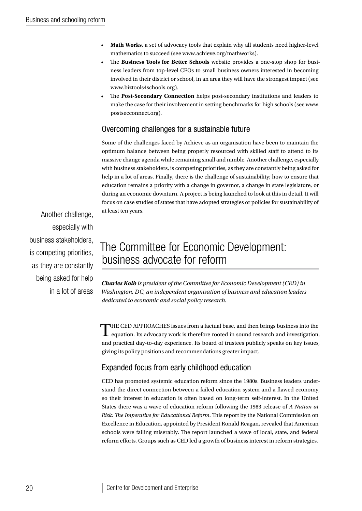- • **Math Works**, a set of advocacy tools that explain why all students need higher-level mathematics to succeed (see www.achieve.org/mathworks).
- The **Business Tools for Better Schools** website provides a one-stop shop for business leaders from top-level CEOs to small business owners interested in becoming involved in their district or school, in an area they will have the strongest impact (see www.biztools4schools.org).
- The Post-Secondary Connection helps post-secondary institutions and leaders to make the case for their involvement in setting benchmarks for high schools (see www. postsecconnect.org).

## Overcoming challenges for a sustainable future

Some of the challenges faced by Achieve as an organisation have been to maintain the optimum balance between being properly resourced with skilled staff to attend to its massive change agenda while remaining small and nimble. Another challenge, especially with business stakeholders, is competing priorities, as they are constantly being asked for help in a lot of areas. Finally, there is the challenge of sustainability; how to ensure that education remains a priority with a change in governor, a change in state legislature, or during an economic downturn. A project is being launched to look at this in detail. It will focus on case studies of states that have adopted strategies or policies for sustainability of at least ten years.

Another challenge, especially with business stakeholders, is competing priorities. as they are constantly being asked for help in a lot of areas

# The Committee for Economic Development: business advocate for reform

*Charles Kolb is president of the Committee for Economic Development (CED) in Washington, DC, an independent organisation of business and education leaders dedicated to economic and social policy research.*

THE CED APPROACHES issues from a factual base, and then brings business into the equation. Its advocacy work is therefore rooted in sound research and investigation, and practical day-to-day experience. Its board of trustees publicly speaks on key issues, giving its policy positions and recommendations greater impact.

## Expanded focus from early childhood education

CED has promoted systemic education reform since the 1980s. Business leaders understand the direct connection between a failed education system and a flawed economy, so their interest in education is often based on long-term self-interest. In the United States there was a wave of education reform following the 1983 release of *A Nation at Risk: The Imperative for Educational Reform*. This report by the National Commission on Excellence in Education, appointed by President Ronald Reagan, revealed that American schools were failing miserably. The report launched a wave of local, state, and federal reform efforts. Groups such as CED led a growth of business interest in reform strategies.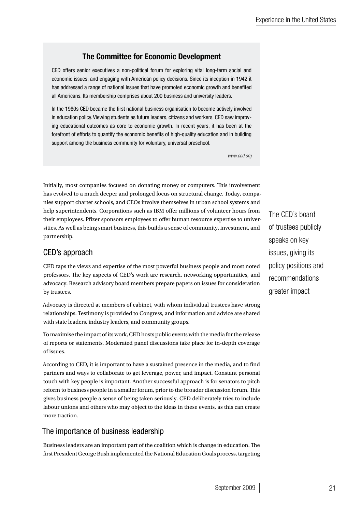## The Committee for Economic Development

CED offers senior executives a non-political forum for exploring vital long-term social and economic issues, and engaging with American policy decisions. Since its inception in 1942 it has addressed a range of national issues that have promoted economic growth and benefited all Americans. Its membership comprises about 200 business and university leaders.

In the 1980s CED became the first national business organisation to become actively involved in education policy. Viewing students as future leaders, citizens and workers, CED saw improving educational outcomes as core to economic growth. In recent years, it has been at the forefront of efforts to quantify the economic benefits of high-quality education and in building support among the business community for voluntary, universal preschool.

*www.ced.org*

Initially, most companies focused on donating money or computers. This involvement has evolved to a much deeper and prolonged focus on structural change. Today, companies support charter schools, and CEOs involve themselves in urban school systems and help superintendents. Corporations such as IBM offer millions of volunteer hours from their employees. Pfizer sponsors employees to offer human resource expertise to universities. As well as being smart business, this builds a sense of community, investment, and partnership.

## CED's approach

CED taps the views and expertise of the most powerful business people and most noted professors. The key aspects of CED's work are research, networking opportunities, and advocacy. Research advisory board members prepare papers on issues for consideration by trustees.

Advocacy is directed at members of cabinet, with whom individual trustees have strong relationships. Testimony is provided to Congress, and information and advice are shared with state leaders, industry leaders, and community groups.

To maximise the impact of its work, CED hosts public events with the media for the release of reports or statements. Moderated panel discussions take place for in-depth coverage of issues.

According to CED, it is important to have a sustained presence in the media, and to find partners and ways to collaborate to get leverage, power, and impact. Constant personal touch with key people is important. Another successful approach is for senators to pitch reform to business people in a smaller forum, prior to the broader discussion forum. This gives business people a sense of being taken seriously. CED deliberately tries to include labour unions and others who may object to the ideas in these events, as this can create more traction.

## The importance of business leadership

Business leaders are an important part of the coalition which is change in education. The first President George Bush implemented the National Education Goals process, targeting The CED's board of trustees publicly speaks on key issues, giving its policy positions and recommendations greater impact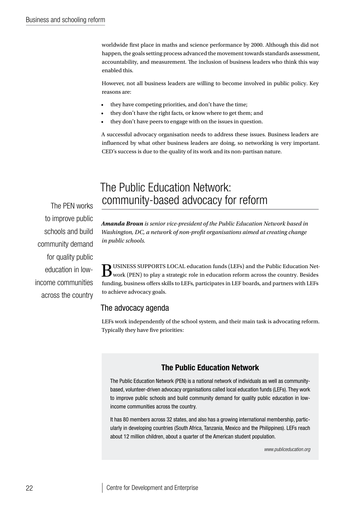worldwide first place in maths and science performance by 2000. Although this did not happen, the goals setting process advanced the movement towards standards assessment, accountability, and measurement. The inclusion of business leaders who think this way enabled this.

However, not all business leaders are willing to become involved in public policy. Key reasons are:

- they have competing priorities, and don't have the time;
- they don't have the right facts, or know where to get them; and
- they don't have peers to engage with on the issues in question.

A successful advocacy organisation needs to address these issues. Business leaders are influenced by what other business leaders are doing, so networking is very important. CED's success is due to the quality of its work and its non-partisan nature.

## The Public Education Network: community-based advocacy for reform

The PEN works to improve public schools and build community demand for quality public education in lowincome communities across the country

*Amanda Broun is senior vice-president of the Public Education Network based in Washington, DC, a network of non-profit organisations aimed at creating change in public schools.*

 $\bf B$ USINESS SUPPORTS LOCAL education funds (LEFs) and the Public Education Net-<br>work (PEN) to play a strategic role in education reform across the country. Besides funding, business offers skills to LEFs, participates in LEF boards, and partners with LEFs to achieve advocacy goals.

#### The advocacy agenda

LEFs work independently of the school system, and their main task is advocating reform. Typically they have five priorities:

#### The Public Education Network

The Public Education Network (PEN) is a national network of individuals as well as communitybased, volunteer-driven advocacy organisations called local education funds (LEFs). They work to improve public schools and build community demand for quality public education in lowincome communities across the country.

It has 80 members across 32 states, and also has a growing international membership, particularly in developing countries (South Africa, Tanzania, Mexico and the Philippines). LEFs reach about 12 million children, about a quarter of the American student population.

*www.publiceducation.org*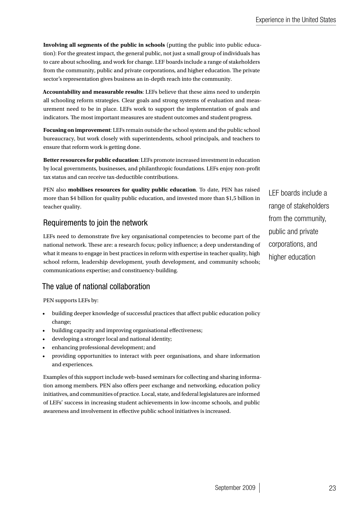**Involving all segments of the public in schools** (putting the public into public education): For the greatest impact, the general public, not just a small group of individuals has to care about schooling, and work for change. LEF boards include a range of stakeholders from the community, public and private corporations, and higher education. The private sector's representation gives business an in-depth reach into the community.

**Accountability and measurable results**: LEFs believe that these aims need to underpin all schooling reform strategies. Clear goals and strong systems of evaluation and measurement need to be in place. LEFs work to support the implementation of goals and indicators. The most important measures are student outcomes and student progress.

**Focusing on improvement**: LEFs remain outside the school system and the public school bureaucracy, but work closely with superintendents, school principals, and teachers to ensure that reform work is getting done.

**Better resources for public education**: LEFs promote increased investment in education by local governments, businesses, and philanthropic foundations. LEFs enjoy non-profit tax status and can receive tax-deductible contributions.

PEN also **mobilises resources for quality public education**. To date, PEN has raised more than \$4 billion for quality public education, and invested more than \$1,5 billion in teacher quality.

## Requirements to join the network

LEFs need to demonstrate five key organisational competencies to become part of the national network. These are: a research focus; policy influence; a deep understanding of what it means to engage in best practices in reform with expertise in teacher quality, high school reform, leadership development, youth development, and community schools; communications expertise; and constituency-building.

## The value of national collaboration

PEN supports LEFs by:

- building deeper knowledge of successful practices that affect public education policy change;
- building capacity and improving organisational effectiveness;
- developing a stronger local and national identity;
- enhancing professional development; and
- • providing opportunities to interact with peer organisations, and share information and experiences.

Examples of this support include web-based seminars for collecting and sharing information among members. PEN also offers peer exchange and networking, education policy initiatives, and communities of practice. Local, state, and federal legislatures are informed of LEFs' success in increasing student achievements in low-income schools, and public awareness and involvement in effective public school initiatives is increased.

LEF boards include a range of stakeholders from the community, public and private corporations, and higher education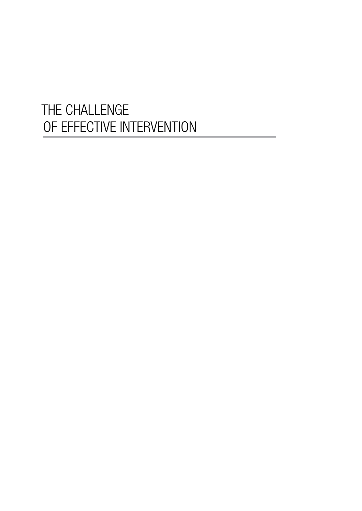# THE CHALLENGE OF EFFECTIVE INTERVENTION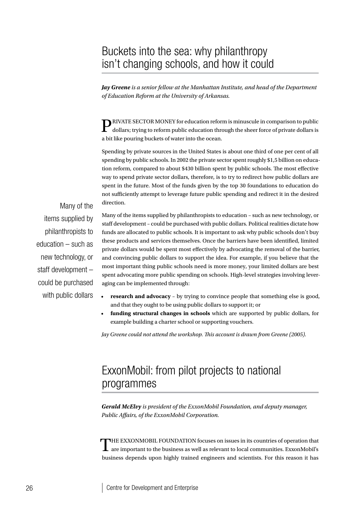## Buckets into the sea: why philanthropy isn't changing schools, and how it could

*Jay Greene is a senior fellow at the Manhattan Institute, and head of the Department of Education Reform at the University of Arkansas.*

PRIVATE SECTOR MONEY for education reform is minuscule in comparison to public dollars; trying to reform public education through the sheer force of private dollars is a bit like pouring buckets of water into the ocean.

Spending by private sources in the United States is about one third of one per cent of all spending by public schools. In 2002 the private sector spent roughly \$1,5 billion on education reform, compared to about \$430 billion spent by public schools. The most effective way to spend private sector dollars, therefore, is to try to redirect how public dollars are spent in the future. Most of the funds given by the top 30 foundations to education do not sufficiently attempt to leverage future public spending and redirect it in the desired direction.

Many of the items supplied by philanthropists to education – such as new technology, or staff development – could be purchased with public dollars

Many of the items supplied by philanthropists to education – such as new technology, or staff development – could be purchased with public dollars. Political realities dictate how funds are allocated to public schools. It is important to ask why public schools don't buy these products and services themselves. Once the barriers have been identified, limited private dollars would be spent most effectively by advocating the removal of the barrier, and convincing public dollars to support the idea. For example, if you believe that the most important thing public schools need is more money, your limited dollars are best spent advocating more public spending on schools. High-level strategies involving leveraging can be implemented through:

- **research and advocacy** by trying to convince people that something else is good, and that they ought to be using public dollars to support it; or
- **funding structural changes in schools** which are supported by public dollars, for example building a charter school or supporting vouchers.

*Jay Greene could not attend the workshop. This account is drawn from Greene (2005).*

# ExxonMobil: from pilot projects to national programmes

*Gerald McElvy is president of the ExxonMobil Foundation, and deputy manager, Public Affairs, of the ExxonMobil Corporation.*

THE EXXONMOBIL FOUNDATION focuses on issues in its countries of operation that are important to the business as well as relevant to local communities. ExxonMobil's business depends upon highly trained engineers and scientists. For this reason it has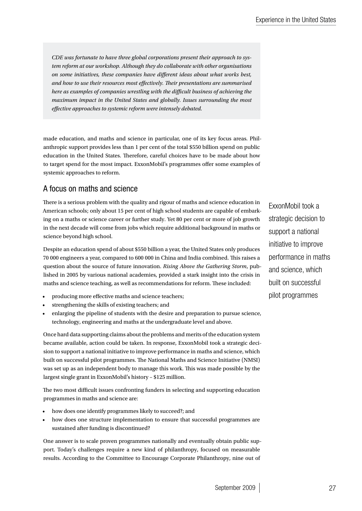*CDE was fortunate to have three global corporations present their approach to system reform at our workshop. Although they do collaborate with other organisations on some initiatives, these companies have different ideas about what works best, and how to use their resources most effectively. Their presentations are summarised here as examples of companies wrestling with the difficult business of achieving the maximum impact in the United States and globally. Issues surrounding the most effective approaches to systemic reform were intensely debated.*

made education, and maths and science in particular, one of its key focus areas. Philanthropic support provides less than 1 per cent of the total \$550 billion spend on public education in the United States. Therefore, careful choices have to be made about how to target spend for the most impact. ExxonMobil's programmes offer some examples of systemic approaches to reform.

## A focus on maths and science

There is a serious problem with the quality and rigour of maths and science education in American schools; only about 15 per cent of high school students are capable of embarking on a maths or science career or further study. Yet 80 per cent or more of job growth in the next decade will come from jobs which require additional background in maths or science beyond high school.

Despite an education spend of about \$550 billion a year, the United States only produces 70 000 engineers a year, compared to 600 000 in China and India combined. This raises a question about the source of future innovation. *Rising Above the Gathering Storm*, published in 2005 by various national academies, provided a stark insight into the crisis in maths and science teaching, as well as recommendations for reform. These included:

- producing more effective maths and science teachers;
- strengthening the skills of existing teachers; and
- enlarging the pipeline of students with the desire and preparation to pursue science, technology, engineering and maths at the undergraduate level and above.

Once hard data supporting claims about the problems and merits of the education system became available, action could be taken. In response, ExxonMobil took a strategic decision to support a national initiative to improve performance in maths and science, which built on successful pilot programmes. The National Maths and Science Initiative (NMSI) was set up as an independent body to manage this work. This was made possible by the largest single grant in ExxonMobil's history – \$125 million.

The two most difficult issues confronting funders in selecting and supporting education programmes in maths and science are:

- how does one identify programmes likely to succeed?; and
- how does one structure implementation to ensure that successful programmes are sustained after funding is discontinued?

One answer is to scale proven programmes nationally and eventually obtain public support. Today's challenges require a new kind of philanthropy, focused on measurable results. According to the Committee to Encourage Corporate Philanthropy, nine out of ExxonMobil took a strategic decision to support a national initiative to improve performance in maths and science, which built on successful pilot programmes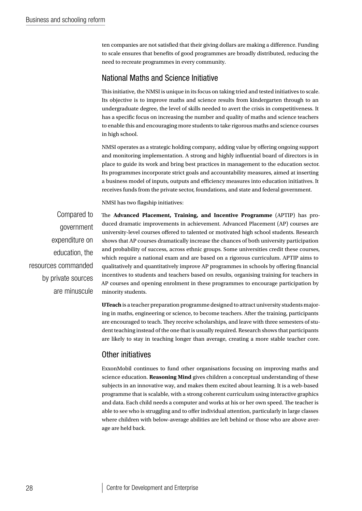ten companies are not satisfied that their giving dollars are making a difference. Funding to scale ensures that benefits of good programmes are broadly distributed, reducing the need to recreate programmes in every community.

#### National Maths and Science Initiative

This initiative, the NMSI is unique in its focus on taking tried and tested initiatives to scale. Its objective is to improve maths and science results from kindergarten through to an undergraduate degree, the level of skills needed to avert the crisis in competitiveness. It has a specific focus on increasing the number and quality of maths and science teachers to enable this and encouraging more students to take rigorous maths and science courses in high school.

NMSI operates as a strategic holding company, adding value by offering ongoing support and monitoring implementation. A strong and highly influential board of directors is in place to guide its work and bring best practices in management to the education sector. Its programmes incorporate strict goals and accountability measures, aimed at inserting a business model of inputs, outputs and efficiency measures into education initiatives. It receives funds from the private sector, foundations, and state and federal government.

NMSI has two flagship initiatives:

Compared to government expenditure on education, the resources commanded by private sources are minuscule

The **Advanced Placement, Training, and Incentive Programme** (APTIP) has produced dramatic improvements in achievement. Advanced Placement (AP) courses are university-level courses offered to talented or motivated high school students. Research shows that AP courses dramatically increase the chances of both university participation and probability of success, across ethnic groups. Some universities credit these courses, which require a national exam and are based on a rigorous curriculum. APTIP aims to qualitatively and quantitatively improve AP programmes in schools by offering financial incentives to students and teachers based on results, organising training for teachers in AP courses and opening enrolment in these programmes to encourage participation by minority students.

**UTeach** is a teacher preparation programme designed to attract university students majoring in maths, engineering or science, to become teachers. After the training, participants are encouraged to teach. They receive scholarships, and leave with three semesters of student teaching instead of the one that is usually required. Research shows that participants are likely to stay in teaching longer than average, creating a more stable teacher core.

## Other initiatives

ExxonMobil continues to fund other organisations focusing on improving maths and science education. **Reasoning Mind** gives children a conceptual understanding of these subjects in an innovative way, and makes them excited about learning. It is a web-based programme that is scalable, with a strong coherent curriculum using interactive graphics and data. Each child needs a computer and works at his or her own speed. The teacher is able to see who is struggling and to offer individual attention, particularly in large classes where children with below-average abilities are left behind or those who are above average are held back.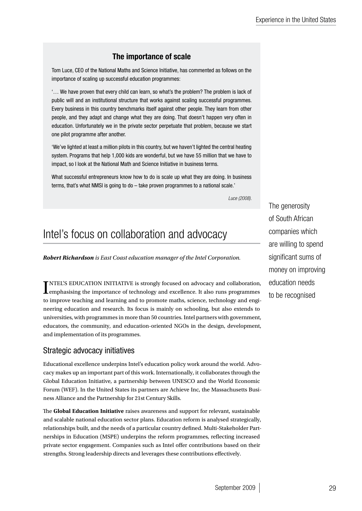## The importance of scale

Tom Luce, CEO of the National Maths and Science Initiative, has commented as follows on the importance of scaling up successful education programmes:

'… We have proven that every child can learn, so what's the problem? The problem is lack of public will and an institutional structure that works against scaling successful programmes. Every business in this country benchmarks itself against other people. They learn from other people, and they adapt and change what they are doing. That doesn't happen very often in education. Unfortunately we in the private sector perpetuate that problem, because we start one pilot programme after another.

'We've lighted at least a million pilots in this country, but we haven't lighted the central heating system. Programs that help 1,000 kids are wonderful, but we have 55 million that we have to impact, so I look at the National Math and Science Initiative in business terms.

What successful entrepreneurs know how to do is scale up what they are doing. In business terms, that's what NMSI is going to do – take proven programmes to a national scale.'

*Luce (2008).*

# Intel's focus on collaboration and advocacy

*Robert Richardson is East Coast education manager of the Intel Corporation.*

I emphasising the importance of technology and excellence. It also runs programmes TNTEL'S EDUCATION INITIATIVE is strongly focused on advocacy and collaboration, to improve teaching and learning and to promote maths, science, technology and engineering education and research. Its focus is mainly on schooling, but also extends to universities, with programmes in more than 50 countries. Intel partners with government, educators, the community, and education-oriented NGOs in the design, development, and implementation of its programmes.

## Strategic advocacy initiatives

Educational excellence underpins Intel's education policy work around the world. Advocacy makes up an important part of this work. Internationally, it collaborates through the Global Education Initiative, a partnership between UNESCO and the World Economic Forum (WEF). In the United States its partners are Achieve Inc, the Massachusetts Business Alliance and the Partnership for 21st Century Skills.

The **Global Education Initiative** raises awareness and support for relevant, sustainable and scalable national education sector plans. Education reform is analysed strategically, relationships built, and the needs of a particular country defined. Multi-Stakeholder Partnerships in Education (MSPE) underpins the reform programmes, reflecting increased private sector engagement. Companies such as Intel offer contributions based on their strengths. Strong leadership directs and leverages these contributions effectively.

The generosity of South African companies which are willing to spend significant sums of money on improving education needs to be recognised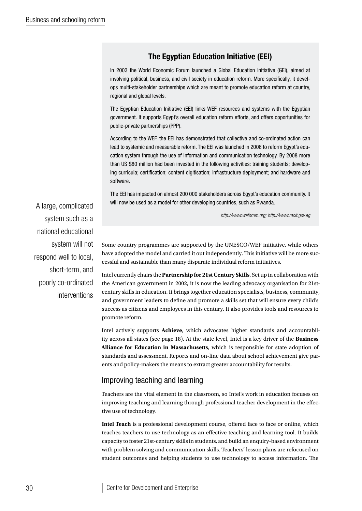## The Egyptian Education Initiative (EEI)

In 2003 the World Economic Forum launched a Global Education Initiative (GEI), aimed at involving political, business, and civil society in education reform. More specifically, it develops multi-stakeholder partnerships which are meant to promote education reform at country, regional and global levels.

The Egyptian Education Initiative (EEI) links WEF resources and systems with the Egyptian government. It supports Egypt's overall education reform efforts, and offers opportunities for public-private partnerships (PPP).

According to the WEF, the EEI has demonstrated that collective and co-ordinated action can lead to systemic and measurable reform. The EEI was launched in 2006 to reform Egypt's education system through the use of information and communication technology. By 2008 more than US \$80 million had been invested in the following activities: training students; developing curricula; certification; content digitisation; infrastructure deployment; and hardware and software.

The EEI has impacted on almost 200 000 stakeholders across Egypt's education community. It will now be used as a model for other developing countries, such as Rwanda.

*http://www.weforum.org; http://www.mcit.gov.eg*

A large, complicated system such as a national educational system will not respond well to local, short-term, and poorly co-ordinated interventions

Some country programmes are supported by the UNESCO/WEF initiative, while others have adopted the model and carried it out independently. This initiative will be more successful and sustainable than many disparate individual reform initiatives.

Intel currently chairs the **Partnership for 21st Century Skills**. Set up in collaboration with the American government in 2002, it is now the leading advocacy organisation for 21stcentury skills in education. It brings together education specialists, business, community, and government leaders to define and promote a skills set that will ensure every child's success as citizens and employees in this century. It also provides tools and resources to promote reform.

Intel actively supports **Achieve**, which advocates higher standards and accountability across all states (see page 18). At the state level, Intel is a key driver of the **Business Alliance for Education in Massachusetts**, which is responsible for state adoption of standards and assessment. Reports and on-line data about school achievement give parents and policy-makers the means to extract greater accountability for results.

## Improving teaching and learning

Teachers are the vital element in the classroom, so Intel's work in education focuses on improving teaching and learning through professional teacher development in the effective use of technology.

**Intel Teach** is a professional development course, offered face to face or online, which teaches teachers to use technology as an effective teaching and learning tool. It builds capacity to foster 21st-century skills in students, and build an enquiry-based environment with problem solving and communication skills. Teachers' lesson plans are refocused on student outcomes and helping students to use technology to access information. The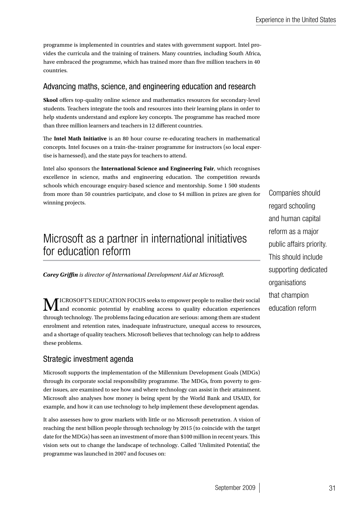programme is implemented in countries and states with government support. Intel provides the curricula and the training of trainers. Many countries, including South Africa, have embraced the programme, which has trained more than five million teachers in 40 countries.

## Advancing maths, science, and engineering education and research

**Skool** offers top-quality online science and mathematics resources for secondary-level students. Teachers integrate the tools and resources into their learning plans in order to help students understand and explore key concepts. The programme has reached more than three million learners and teachers in 12 different countries.

The **Intel Math Initiative** is an 80 hour course re-educating teachers in mathematical concepts. Intel focuses on a train-the-trainer programme for instructors (so local expertise is harnessed), and the state pays for teachers to attend.

Intel also sponsors the **International Science and Engineering Fair**, which recognises excellence in science, maths and engineering education. The competition rewards schools which encourage enquiry-based science and mentorship. Some 1 500 students from more than 50 countries participate, and close to \$4 million in prizes are given for winning projects.

# Microsoft as a partner in international initiatives for education reform

*Corey Griffin is director of International Development Aid at Microsoft.*

 $\bf M$ ICROSOFT'S EDUCATION FOCUS seeks to empower people to realise their social and economic potential by enabling access to quality education experiences through technology. The problems facing education are serious: among them are student enrolment and retention rates, inadequate infrastructure, unequal access to resources, and a shortage of quality teachers. Microsoft believes that technology can help to address these problems.

## Strategic investment agenda

Microsoft supports the implementation of the Millennium Development Goals (MDGs) through its corporate social responsibility programme. The MDGs, from poverty to gender issues, are examined to see how and where technology can assist in their attainment. Microsoft also analyses how money is being spent by the World Bank and USAID, for example, and how it can use technology to help implement these development agendas.

It also assesses how to grow markets with little or no Microsoft penetration. A vision of reaching the next billion people through technology by 2015 (to coincide with the target date for the MDGs) has seen an investment of more than \$100 million in recent years. This vision sets out to change the landscape of technology. Called 'Unlimited Potential', the programme was launched in 2007 and focuses on:

Companies should regard schooling and human capital reform as a major public affairs priority. This should include supporting dedicated organisations that champion education reform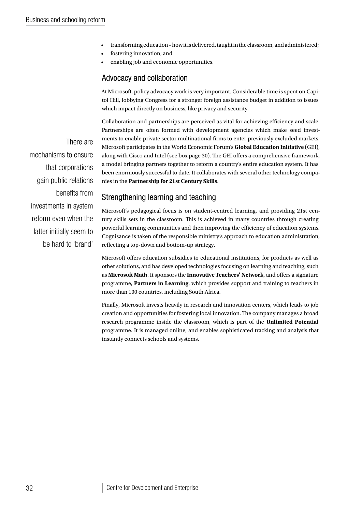- transforming education how it is delivered, taught in the classroom, and administered;
- fostering innovation; and
- enabling job and economic opportunities.

## Advocacy and collaboration

At Microsoft, policy advocacy work is very important. Considerable time is spent on Capitol Hill, lobbying Congress for a stronger foreign assistance budget in addition to issues which impact directly on business, like privacy and security.

Collaboration and partnerships are perceived as vital for achieving efficiency and scale. Partnerships are often formed with development agencies which make seed investments to enable private sector multinational firms to enter previously excluded markets. Microsoft participates in the World Economic Forum's **Global Education Initiative** (GEI), along with Cisco and Intel (see box page 30). The GEI offers a comprehensive framework, a model bringing partners together to reform a country's entire education system. It has been enormously successful to date. It collaborates with several other technology companies in the **Partnership for 21st Century Skills**.

## Strengthening learning and teaching

Microsoft's pedagogical focus is on student-centred learning, and providing 21st century skills sets in the classroom. This is achieved in many countries through creating powerful learning communities and then improving the efficiency of education systems. Cognisance is taken of the responsible ministry's approach to education administration, reflecting a top-down and bottom-up strategy.

Microsoft offers education subsidies to educational institutions, for products as well as other solutions, and has developed technologies focusing on learning and teaching, such as **Microsoft Math**. It sponsors the **Innovative Teachers' Network**, and offers a signature programme, **Partners in Learning**, which provides support and training to teachers in more than 100 countries, including South Africa.

Finally, Microsoft invests heavily in research and innovation centers, which leads to job creation and opportunities for fostering local innovation. The company manages a broad research programme inside the classroom, which is part of the **Unlimited Potential** programme. It is managed online, and enables sophisticated tracking and analysis that instantly connects schools and systems.

There are mechanisms to ensure that corporations gain public relations benefits from investments in system reform even when the latter initially seem to be hard to 'brand'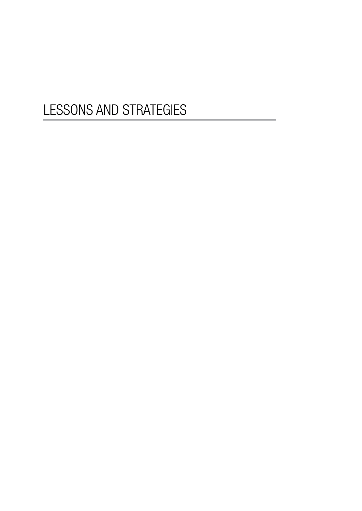# LESSONS AND STRATEGIES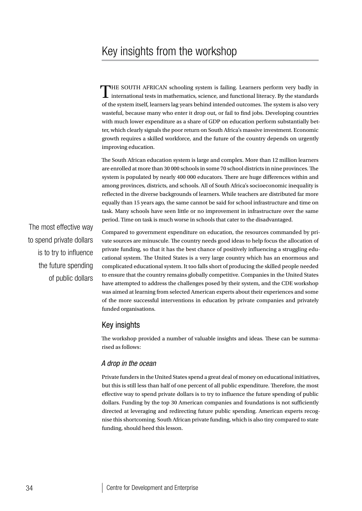# Key insights from the workshop

THE SOUTH AFRICAN schooling system is failing. Learners perform very badly in international tests in mathematics, science, and functional literacy. By the standards of the system itself, learners lag years behind intended outcomes. The system is also very wasteful, because many who enter it drop out, or fail to find jobs. Developing countries with much lower expenditure as a share of GDP on education perform substantially better, which clearly signals the poor return on South Africa's massive investment. Economic growth requires a skilled workforce, and the future of the country depends on urgently improving education.

The South African education system is large and complex. More than 12 million learners are enrolled at more than 30 000 schools in some 70 school districts in nine provinces. The system is populated by nearly 400 000 educators. There are huge differences within and among provinces, districts, and schools. All of South Africa's socioeconomic inequality is reflected in the diverse backgrounds of learners. While teachers are distributed far more equally than 15 years ago, the same cannot be said for school infrastructure and time on task. Many schools have seen little or no improvement in infrastructure over the same period. Time on task is much worse in schools that cater to the disadvantaged.

The most effective way to spend private dollars is to try to influence the future spending of public dollars

Compared to government expenditure on education, the resources commanded by private sources are minuscule. The country needs good ideas to help focus the allocation of private funding, so that it has the best chance of positively influencing a struggling educational system. The United States is a very large country which has an enormous and complicated educational system. It too falls short of producing the skilled people needed to ensure that the country remains globally competitive. Companies in the United States have attempted to address the challenges posed by their system, and the CDE workshop was aimed at learning from selected American experts about their experiences and some of the more successful interventions in education by private companies and privately funded organisations.

#### Key insights

The workshop provided a number of valuable insights and ideas. These can be summarised as follows:

#### *A drop in the ocean*

Private funders in the United States spend a great deal of money on educational initiatives, but this is still less than half of one percent of all public expenditure. Therefore, the most effective way to spend private dollars is to try to influence the future spending of public dollars. Funding by the top 30 American companies and foundations is not sufficiently directed at leveraging and redirecting future public spending. American experts recognise this shortcoming. South African private funding, which is also tiny compared to state funding, should heed this lesson.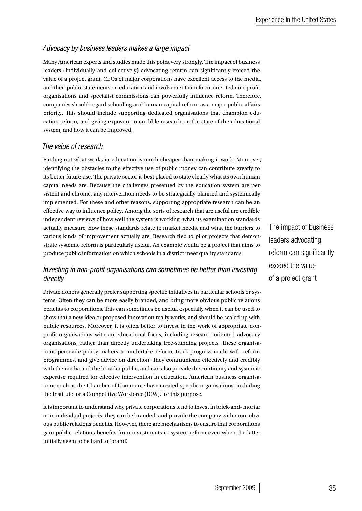## *Advocacy by business leaders makes a large impact*

Many American experts and studies made this point very strongly. The impact of business leaders (individually and collectively) advocating reform can significantly exceed the value of a project grant. CEOs of major corporations have excellent access to the media, and their public statements on education and involvement in reform-oriented non-profit organisations and specialist commissions can powerfully influence reform. Therefore, companies should regard schooling and human capital reform as a major public affairs priority. This should include supporting dedicated organisations that champion education reform, and giving exposure to credible research on the state of the educational system, and how it can be improved.

#### *The value of research*

Finding out what works in education is much cheaper than making it work. Moreover, identifying the obstacles to the effective use of public money can contribute greatly to its better future use. The private sector is best placed to state clearly what its own human capital needs are. Because the challenges presented by the education system are persistent and chronic, any intervention needs to be strategically planned and systemically implemented. For these and other reasons, supporting appropriate research can be an effective way to influence policy. Among the sorts of research that are useful are credible independent reviews of how well the system is working, what its examination standards actually measure, how these standards relate to market needs, and what the barriers to various kinds of improvement actually are. Research tied to pilot projects that demonstrate systemic reform is particularly useful. An example would be a project that aims to produce public information on which schools in a district meet quality standards.

## *Investing in non-profit organisations can sometimes be better than investing directly*

Private donors generally prefer supporting specific initiatives in particular schools or systems. Often they can be more easily branded, and bring more obvious public relations benefits to corporations. This can sometimes be useful, especially when it can be used to show that a new idea or proposed innovation really works, and should be scaled up with public resources. Moreover, it is often better to invest in the work of appropriate nonprofit organisations with an educational focus, including research-oriented advocacy organisations, rather than directly undertaking free-standing projects. These organisations persuade policy-makers to undertake reform, track progress made with reform programmes, and give advice on direction. They communicate effectively and credibly with the media and the broader public, and can also provide the continuity and systemic expertise required for effective intervention in education. American business organisations such as the Chamber of Commerce have created specific organisations, including the Institute for a Competitive Workforce (ICW), for this purpose.

It is important to understand why private corporations tend to invest in brick-and- mortar or in individual projects: they can be branded, and provide the company with more obvious public relations benefits. However, there are mechanisms to ensure that corporations gain public relations benefits from investments in system reform even when the latter initially seem to be hard to 'brand'.

The impact of business leaders advocating reform can significantly exceed the value of a project grant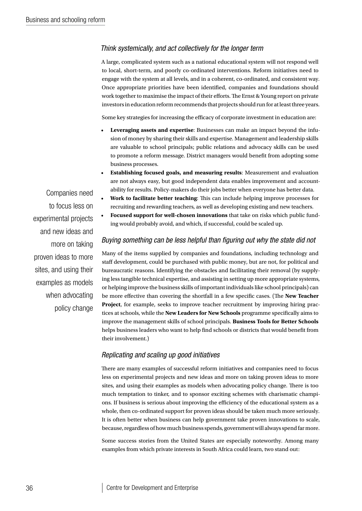#### *Think systemically, and act collectively for the longer term*

A large, complicated system such as a national educational system will not respond well to local, short-term, and poorly co-ordinated interventions. Reform initiatives need to engage with the system at all levels, and in a coherent, co-ordinated, and consistent way. Once appropriate priorities have been identified, companies and foundations should work together to maximise the impact of their efforts. The Ernst & Young report on private investors in education reform recommends that projects should run for at least three years.

Some key strategies for increasing the efficacy of corporate investment in education are:

- Leveraging assets and expertise: Businesses can make an impact beyond the infusion of money by sharing their skills and expertise. Management and leadership skills are valuable to school principals; public relations and advocacy skills can be used to promote a reform message. District managers would benefit from adopting some business processes.
- **Establishing focused goals, and measuring results:** Measurement and evaluation are not always easy, but good independent data enables improvement and accountability for results. Policy-makers do their jobs better when everyone has better data.
- **Work to facilitate better teaching:** This can include helping improve processes for recruiting and rewarding teachers, as well as developing existing and new teachers.
- Focused support for well-chosen innovations that take on risks which public funding would probably avoid, and which, if successful, could be scaled up.

#### *Buying something can be less helpful than figuring out why the state did not*

Many of the items supplied by companies and foundations, including technology and staff development, could be purchased with public money, but are not, for political and bureaucratic reasons. Identifying the obstacles and facilitating their removal (by supplying less tangible technical expertise, and assisting in setting up more appropriate systems, or helping improve the business skills of important individuals like school principals) can be more effective than covering the shortfall in a few specific cases. (The **New Teacher Project**, for example, seeks to improve teacher recruitment by improving hiring practices at schools, while the **New Leaders for New Schools** programme specifically aims to improve the management skills of school principals. **Business Tools for Better Schools** helps business leaders who want to help find schools or districts that would benefit from their involvement.)

#### *Replicating and scaling up good initiatives*

There are many examples of successful reform initiatives and companies need to focus less on experimental projects and new ideas and more on taking proven ideas to more sites, and using their examples as models when advocating policy change. There is too much temptation to tinker, and to sponsor exciting schemes with charismatic champions. If business is serious about improving the efficiency of the educational system as a whole, then co-ordinated support for proven ideas should be taken much more seriously. It is often better when business can help government take proven innovations to scale, because, regardless of how much business spends, government will always spend far more.

Some success stories from the United States are especially noteworthy. Among many examples from which private interests in South Africa could learn, two stand out:

Companies need to focus less on experimental projects and new ideas and more on taking proven ideas to more sites, and using their examples as models when advocating policy change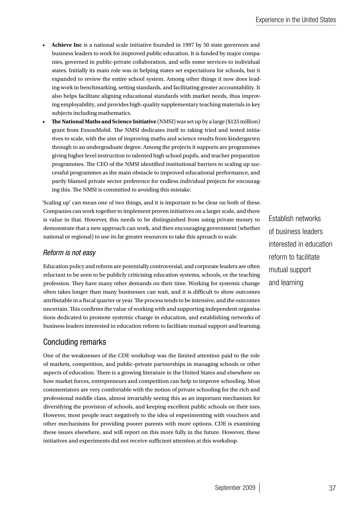- • **Achieve Inc** is a national scale initiative founded in 1997 by 50 state governors and business leaders to work for improved public education. It is funded by major companies, governed in public-private collaboration, and sells some services to individual states. Initially its main role was in helping states set expectations for schools, but it expanded to review the entire school system. Among other things it now does leading work in benchmarking, setting standards, and facilitating greater accountability. It also helps facilitate aligning educational standards with market needs, thus improving employability, and provides high-quality supplementary teaching materials in key subjects including mathematics.
- **The National Maths and Science Initiative** (NMSI) was set up by a large (\$125 million) grant from ExxonMobil. The NMSI dedicates itself to taking tried and tested initiatives to scale, with the aim of improving maths and science results from kindergarten through to an undergraduate degree. Among the projects it supports are programmes giving higher level instruction to talented high school pupils, and teacher preparation programmes. The CEO of the NMSI identified institutional barriers to scaling up successful programmes as the main obstacle to improved educational performance, and partly blamed private sector preference for endless individual projects for encouraging this. The NMSI is committed to avoiding this mistake.

'Scaling up' can mean one of two things, and it is important to be clear on both of these. Companies can work together to implement proven initiatives on a larger scale, and there is value in that. However, this needs to be distinguished from using private money to demonstrate that a new approach can work, and then encouraging government (whether national or regional) to use its far greater resources to take this aproach to scale.

#### *Reform is not easy*

Education policy and reform are potentially controversial, and corporate leaders are often reluctant to be seen to be publicly criticising education systems, schools, or the teaching profession. They have many other demands on their time. Working for systemic change often takes longer than many businesses can wait, and it is difficult to show outcomes attributable in a fiscal quarter or year. The process tends to be intensive, and the outcomes uncertain. This confirms the value of working with and supporting independent organisations dedicated to promote systemic change in education, and establishing networks of business leaders interested in education reform to facilitate mutual support and learning.

## Concluding remarks

One of the weaknesses of the CDE workshop was the limited attention paid to the role of markets, competition, and public–private partnerships in managing schools or other aspects of education. There is a growing literature in the United States and elsewhere on how market forces, entrepreneurs and competition can help to improve schooling. Most commentators are very comfortable with the notion of private schooling for the rich and professional middle class, almost invariably seeing this as an important mechanism for diversifying the provision of schools, and keeping excellent public schools on their toes. However, most people react negatively to the idea of experimenting with vouchers and other mechanisms for providing poorer parents with more options. CDE is examining these issues elsewhere, and will report on this more fully in the future. However, these initiatives and experiments did not receive sufficient attention at this workshop.

Establish networks of business leaders interested in education reform to facilitate mutual support and learning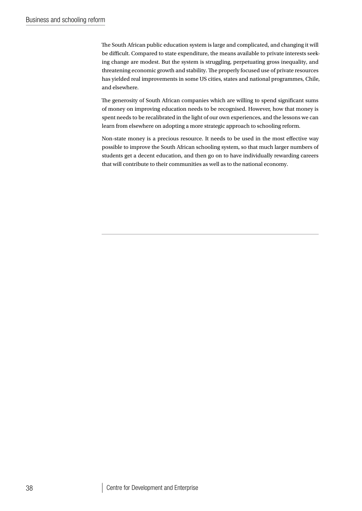The South African public education system is large and complicated, and changing it will be difficult. Compared to state expenditure, the means available to private interests seeking change are modest. But the system is struggling, perpetuating gross inequality, and threatening economic growth and stability. The properly focused use of private resources has yielded real improvements in some US cities, states and national programmes, Chile, and elsewhere.

The generosity of South African companies which are willing to spend significant sums of money on improving education needs to be recognised. However, how that money is spent needs to be recalibrated in the light of our own experiences, and the lessons we can learn from elsewhere on adopting a more strategic approach to schooling reform.

Non-state money is a precious resource. It needs to be used in the most effective way possible to improve the South African schooling system, so that much larger numbers of students get a decent education, and then go on to have individually rewarding careers that will contribute to their communities as well as to the national economy.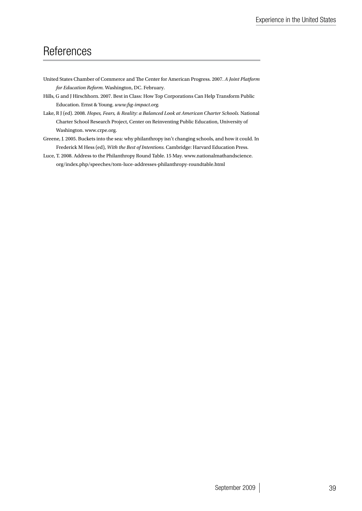## **References**

- United States Chamber of Commerce and The Center for American Progress. 2007. *A Joint Platform for Education Reform.* Washington, DC. February.
- Hills, G and J Hirschhorn. 2007. Best in Class: How Top Corporations Can Help Transform Public Education. Ernst & Young. *www.fsg-impact.org.*

Lake, R J (ed). 2008. *Hopes, Fears, & Reality: a Balanced Look at American Charter Schools.* National Charter School Research Project, Center on Reinventing Public Education, University of Washington. www.crpe.org.

- Greene, J. 2005. Buckets into the sea: why philanthropy isn't changing schools, and how it could. In Frederick M Hess (ed), *With the Best of Intentions.* Cambridge: Harvard Education Press.
- Luce, T. 2008. Address to the Philanthropy Round Table. 15 May. www.nationalmathandscience. org/index.php/speeches/tom-luce-addresses-philanthropy-roundtable.html